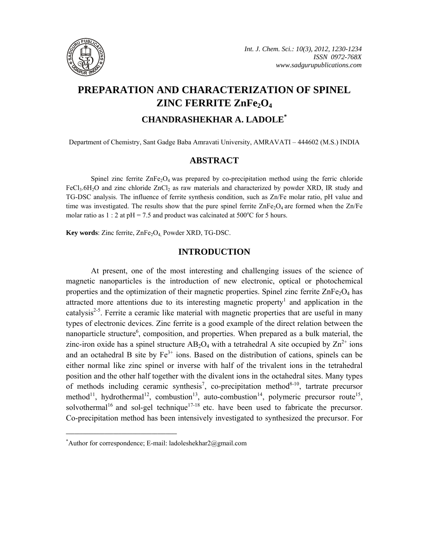

# **PREPARATION AND CHARACTERIZATION OF SPINEL ZINC FERRITE ZnFe<sub>2</sub>O<sub>4</sub>**

## **CHANDRASHEKHAR A. LADOLE\***

Department of Chemistry, Sant Gadge Baba Amravati University, AMRAVATI – 444602 (M.S.) INDIA

## **ABSTRACT**

Spinel zinc ferrite  $\text{ZnFe}_2\text{O}_4$  was prepared by co-precipitation method using the ferric chloride FeCl<sub>3</sub>.6H<sub>2</sub>O and zinc chloride  $ZnCl_2$  as raw materials and characterized by powder XRD, IR study and TG-DSC analysis. The influence of ferrite synthesis condition, such as Zn/Fe molar ratio, pH value and time was investigated. The results show that the pure spinel ferrite  $\text{ZnFe}_2\text{O}_4$  are formed when the  $\text{Zn/Fe}$ molar ratio as  $1:2$  at pH = 7.5 and product was calcinated at 500 $^{\circ}$ C for 5 hours.

**Key words**: Zinc ferrite, ZnFe<sub>2</sub>O<sub>4</sub> Powder XRD, TG-DSC.

## **INTRODUCTION**

At present, one of the most interesting and challenging issues of the science of magnetic nanoparticles is the introduction of new electronic, optical or photochemical properties and the optimization of their magnetic properties. Spinel zinc ferrite  $\text{ZnFe}_2\text{O}_4$  has attracted more attentions due to its interesting magnetic property<sup>1</sup> and application in the catalysis<sup>2-5</sup>. Ferrite a ceramic like material with magnetic properties that are useful in many types of electronic devices. Zinc ferrite is a good example of the direct relation between the nanoparticle structure<sup>6</sup>, composition, and properties. When prepared as a bulk material, the zinc-iron oxide has a spinel structure  $AB_2O_4$  with a tetrahedral A site occupied by  $Zn^{2+}$  ions and an octahedral B site by  $Fe<sup>3+</sup>$  ions. Based on the distribution of cations, spinels can be either normal like zinc spinel or inverse with half of the trivalent ions in the tetrahedral position and the other half together with the divalent ions in the octahedral sites. Many types of methods including ceramic synthesis<sup>7</sup>, co-precipitation method<sup>8-10</sup>, tartrate precursor method<sup>11</sup>, hydrothermal<sup>12</sup>, combustion<sup>13</sup>, auto-combustion<sup>14</sup>, polymeric precursor route<sup>15</sup>, solvothermal<sup>16</sup> and sol-gel technique<sup>17-18</sup> etc. have been used to fabricate the precursor. Co-precipitation method has been intensively investigated to synthesized the precursor. For

**\_\_\_\_\_\_\_\_\_\_\_\_\_\_\_\_\_\_\_\_\_\_\_\_\_\_\_\_\_\_\_\_\_\_\_\_\_\_\_\_**

<sup>\*</sup> Author for correspondence; E-mail: ladoleshekhar2@gmail.com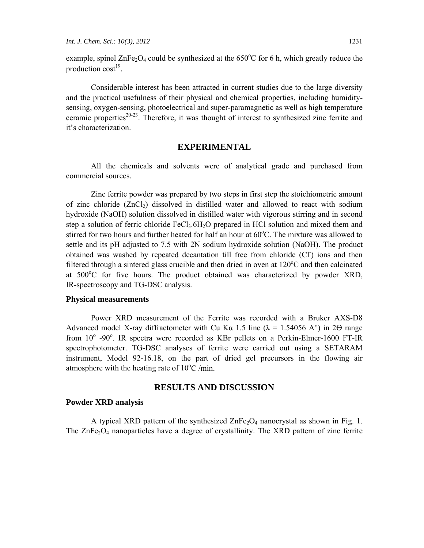example, spinel  $\text{ZnFe}_2\text{O}_4$  could be synthesized at the 650°C for 6 h, which greatly reduce the production  $cost^{19}$ .

Considerable interest has been attracted in current studies due to the large diversity and the practical usefulness of their physical and chemical properties, including humiditysensing, oxygen-sensing, photoelectrical and super-paramagnetic as well as high temperature ceramic properties $20-23$ . Therefore, it was thought of interest to synthesized zinc ferrite and it's characterization.

#### **EXPERIMENTAL**

All the chemicals and solvents were of analytical grade and purchased from commercial sources.

Zinc ferrite powder was prepared by two steps in first step the stoichiometric amount of zinc chloride  $(ZnCl<sub>2</sub>)$  dissolved in distilled water and allowed to react with sodium hydroxide (NaOH) solution dissolved in distilled water with vigorous stirring and in second step a solution of ferric chloride  $FeCl<sub>3</sub>·6H<sub>2</sub>O$  prepared in HCl solution and mixed them and stirred for two hours and further heated for half an hour at 60°C. The mixture was allowed to settle and its pH adjusted to 7.5 with 2N sodium hydroxide solution (NaOH). The product obtained was washed by repeated decantation till free from chloride (Cl<sup>-</sup>) ions and then filtered through a sintered glass crucible and then dried in oven at  $120^{\circ}$ C and then calcinated at 500°C for five hours. The product obtained was characterized by powder XRD, IR-spectroscopy and TG-DSC analysis.

#### **Physical measurements**

Power XRD measurement of the Ferrite was recorded with a Bruker AXS-D8 Advanced model X-ray diffractometer with Cu K $\alpha$  1.5 line ( $\lambda$  = 1.54056 A°) in 2 $\Theta$  range from  $10^{\circ}$  -90°. IR spectra were recorded as KBr pellets on a Perkin-Elmer-1600 FT-IR spectrophotometer. TG-DSC analyses of ferrite were carried out using a SETARAM instrument, Model 92-16.18, on the part of dried gel precursors in the flowing air atmosphere with the heating rate of  $10^{\circ}$ C /min.

## **RESULTS AND DISCUSSION**

#### **Powder XRD analysis**

A typical XRD pattern of the synthesized  $\text{ZnFe}_2\text{O}_4$  nanocrystal as shown in Fig. 1. The  $ZnFe<sub>2</sub>O<sub>4</sub>$  nanoparticles have a degree of crystallinity. The XRD pattern of zinc ferrite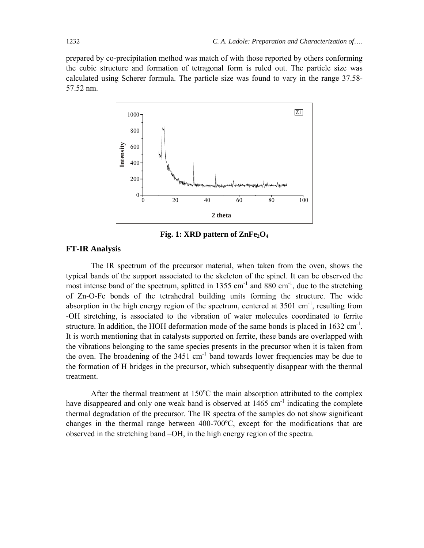prepared by co-precipitation method was match of with those reported by others conforming the cubic structure and formation of tetragonal form is ruled out. The particle size was calculated using Scherer formula. The particle size was found to vary in the range 37.58- 57.52 nm.



Fig. 1: XRD pattern of ZnFe<sub>2</sub>O<sub>4</sub>

#### **FT-IR Analysis**

The IR spectrum of the precursor material, when taken from the oven, shows the typical bands of the support associated to the skeleton of the spinel. It can be observed the most intense band of the spectrum, splitted in 1355 cm<sup>-1</sup> and 880 cm<sup>-1</sup>, due to the stretching of Zn-O-Fe bonds of the tetrahedral building units forming the structure. The wide absorption in the high energy region of the spectrum, centered at  $3501 \text{ cm}^{-1}$ , resulting from -OH stretching, is associated to the vibration of water molecules coordinated to ferrite structure. In addition, the HOH deformation mode of the same bonds is placed in  $1632 \text{ cm}^{-1}$ . It is worth mentioning that in catalysts supported on ferrite, these bands are overlapped with the vibrations belonging to the same species presents in the precursor when it is taken from the oven. The broadening of the  $3451 \text{ cm}^{-1}$  band towards lower frequencies may be due to the formation of H bridges in the precursor, which subsequently disappear with the thermal treatment.

After the thermal treatment at  $150^{\circ}$ C the main absorption attributed to the complex have disappeared and only one weak band is observed at  $1465 \text{ cm}^{-1}$  indicating the complete thermal degradation of the precursor. The IR spectra of the samples do not show significant changes in the thermal range between  $400-700^{\circ}$ C, except for the modifications that are observed in the stretching band –OH, in the high energy region of the spectra.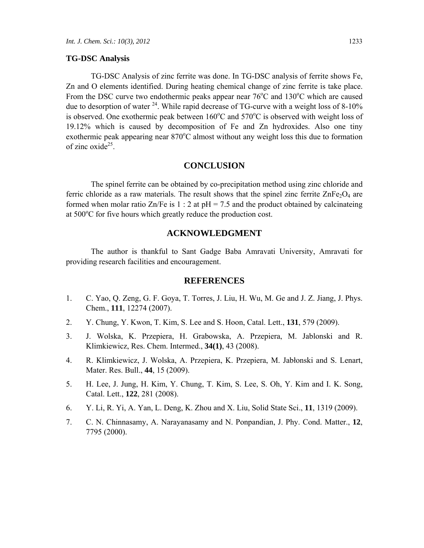#### **TG-DSC Analysis**

TG-DSC Analysis of zinc ferrite was done. In TG-DSC analysis of ferrite shows Fe, Zn and O elements identified. During heating chemical change of zinc ferrite is take place. From the DSC curve two endothermic peaks appear near  $76^{\circ}$ C and  $130^{\circ}$ C which are caused due to desorption of water <sup>24</sup>. While rapid decrease of TG-curve with a weight loss of 8-10% is observed. One exothermic peak between  $160^{\circ}$ C and  $570^{\circ}$ C is observed with weight loss of 19.12% which is caused by decomposition of Fe and Zn hydroxides. Also one tiny exothermic peak appearing near 870°C almost without any weight loss this due to formation of zinc oxide $^{25}$ .

## **CONCLUSION**

The spinel ferrite can be obtained by co-precipitation method using zinc chloride and ferric chloride as a raw materials. The result shows that the spinel zinc ferrite  $\text{ZnFe}_2\text{O}_4$  are formed when molar ratio  $\text{Zn/Fe}$  is 1 : 2 at pH = 7.5 and the product obtained by calcinateing at 500°C for five hours which greatly reduce the production cost.

## **ACKNOWLEDGMENT**

The author is thankful to Sant Gadge Baba Amravati University, Amravati for providing research facilities and encouragement.

#### **REFERENCES**

- 1. C. Yao, Q. Zeng, G. F. Goya, T. Torres, J. Liu, H. Wu, M. Ge and J. Z. Jiang, J. Phys. Chem., **111**, 12274 (2007).
- 2. Y. Chung, Y. Kwon, T. Kim, S. Lee and S. Hoon, Catal. Lett., **131**, 579 (2009).
- 3. J. Wolska, K. Przepiera, H. Grabowska, A. Przepiera, M. Jablonski and R. Klimkiewicz, Res. Chem. Intermed., **34(1)**, 43 (2008).
- 4. R. Klimkiewicz, J. Wolska, A. Przepiera, K. Przepiera, M. Jabłonski and S. Lenart, Mater. Res. Bull., **44**, 15 (2009).
- 5. H. Lee, J. Jung, H. Kim, Y. Chung, T. Kim, S. Lee, S. Oh, Y. Kim and I. K. Song, Catal. Lett., **122**, 281 (2008).
- 6. Y. Li, R. Yi, A. Yan, L. Deng, K. Zhou and X. Liu, Solid State Sci., **11**, 1319 (2009).
- 7. C. N. Chinnasamy, A. Narayanasamy and N. Ponpandian, J. Phy. Cond. Matter., **12**, 7795 (2000).